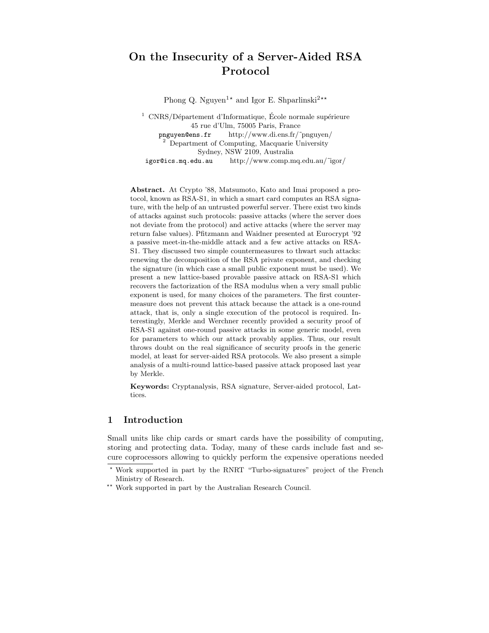# On the Insecurity of a Server-Aided RSA Protocol

Phong Q. Nguyen<sup>1\*</sup> and Igor E. Shparlinski<sup>2\*\*</sup>

 $1$  CNRS/Département d'Informatique, École normale supérieure 45 rue d'Ulm, 75005 Paris, France pnguyen@ens.fr http://www.di.ens.fr/˜pnguyen/ <sup>2</sup> Department of Computing, Macquarie University Sydney, NSW 2109, Australia igor@ics.mq.edu.au http://www.comp.mq.edu.au/˜igor/

Abstract. At Crypto '88, Matsumoto, Kato and Imai proposed a protocol, known as RSA-S1, in which a smart card computes an RSA signature, with the help of an untrusted powerful server. There exist two kinds of attacks against such protocols: passive attacks (where the server does not deviate from the protocol) and active attacks (where the server may return false values). Pfitzmann and Waidner presented at Eurocrypt '92 a passive meet-in-the-middle attack and a few active attacks on RSA-S1. They discussed two simple countermeasures to thwart such attacks: renewing the decomposition of the RSA private exponent, and checking the signature (in which case a small public exponent must be used). We present a new lattice-based provable passive attack on RSA-S1 which recovers the factorization of the RSA modulus when a very small public exponent is used, for many choices of the parameters. The first countermeasure does not prevent this attack because the attack is a one-round attack, that is, only a single execution of the protocol is required. Interestingly, Merkle and Werchner recently provided a security proof of RSA-S1 against one-round passive attacks in some generic model, even for parameters to which our attack provably applies. Thus, our result throws doubt on the real significance of security proofs in the generic model, at least for server-aided RSA protocols. We also present a simple analysis of a multi-round lattice-based passive attack proposed last year by Merkle.

Keywords: Cryptanalysis, RSA signature, Server-aided protocol, Lattices.

# 1 Introduction

Small units like chip cards or smart cards have the possibility of computing, storing and protecting data. Today, many of these cards include fast and secure coprocessors allowing to quickly perform the expensive operations needed

<sup>?</sup> Work supported in part by the RNRT "Turbo-signatures" project of the French Ministry of Research.

<sup>\*\*</sup> Work supported in part by the Australian Research Council.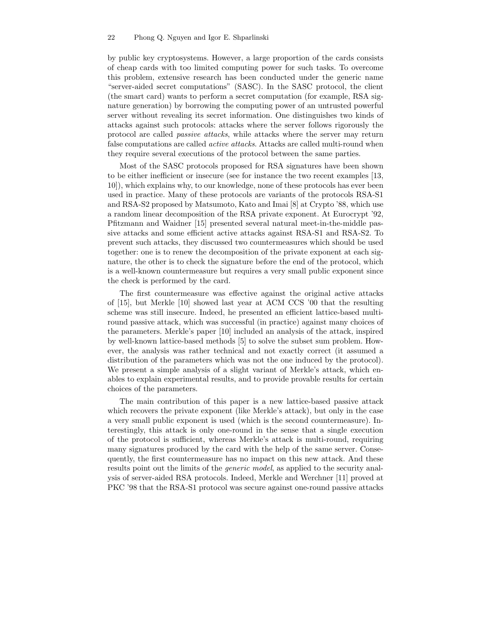by public key cryptosystems. However, a large proportion of the cards consists of cheap cards with too limited computing power for such tasks. To overcome this problem, extensive research has been conducted under the generic name "server-aided secret computations" (SASC). In the SASC protocol, the client (the smart card) wants to perform a secret computation (for example, RSA signature generation) by borrowing the computing power of an untrusted powerful server without revealing its secret information. One distinguishes two kinds of attacks against such protocols: attacks where the server follows rigorously the protocol are called passive attacks, while attacks where the server may return false computations are called active attacks. Attacks are called multi-round when they require several executions of the protocol between the same parties.

Most of the SASC protocols proposed for RSA signatures have been shown to be either inefficient or insecure (see for instance the two recent examples [13, 10]), which explains why, to our knowledge, none of these protocols has ever been used in practice. Many of these protocols are variants of the protocols RSA-S1 and RSA-S2 proposed by Matsumoto, Kato and Imai [8] at Crypto '88, which use a random linear decomposition of the RSA private exponent. At Eurocrypt '92, Pfitzmann and Waidner [15] presented several natural meet-in-the-middle passive attacks and some efficient active attacks against RSA-S1 and RSA-S2. To prevent such attacks, they discussed two countermeasures which should be used together: one is to renew the decomposition of the private exponent at each signature, the other is to check the signature before the end of the protocol, which is a well-known countermeasure but requires a very small public exponent since the check is performed by the card.

The first countermeasure was effective against the original active attacks of [15], but Merkle [10] showed last year at ACM CCS '00 that the resulting scheme was still insecure. Indeed, he presented an efficient lattice-based multiround passive attack, which was successful (in practice) against many choices of the parameters. Merkle's paper [10] included an analysis of the attack, inspired by well-known lattice-based methods [5] to solve the subset sum problem. However, the analysis was rather technical and not exactly correct (it assumed a distribution of the parameters which was not the one induced by the protocol). We present a simple analysis of a slight variant of Merkle's attack, which enables to explain experimental results, and to provide provable results for certain choices of the parameters.

The main contribution of this paper is a new lattice-based passive attack which recovers the private exponent (like Merkle's attack), but only in the case a very small public exponent is used (which is the second countermeasure). Interestingly, this attack is only one-round in the sense that a single execution of the protocol is sufficient, whereas Merkle's attack is multi-round, requiring many signatures produced by the card with the help of the same server. Consequently, the first countermeasure has no impact on this new attack. And these results point out the limits of the generic model, as applied to the security analysis of server-aided RSA protocols. Indeed, Merkle and Werchner [11] proved at PKC '98 that the RSA-S1 protocol was secure against one-round passive attacks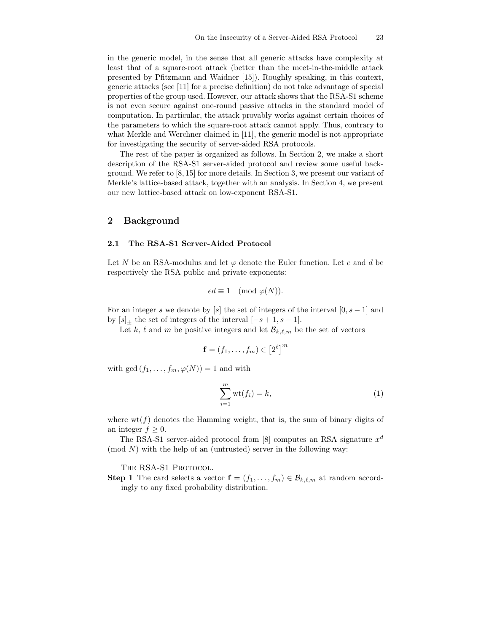in the generic model, in the sense that all generic attacks have complexity at least that of a square-root attack (better than the meet-in-the-middle attack presented by Pfitzmann and Waidner [15]). Roughly speaking, in this context, generic attacks (see [11] for a precise definition) do not take advantage of special properties of the group used. However, our attack shows that the RSA-S1 scheme is not even secure against one-round passive attacks in the standard model of computation. In particular, the attack provably works against certain choices of the parameters to which the square-root attack cannot apply. Thus, contrary to what Merkle and Werchner claimed in [11], the generic model is not appropriate for investigating the security of server-aided RSA protocols.

The rest of the paper is organized as follows. In Section 2, we make a short description of the RSA-S1 server-aided protocol and review some useful background. We refer to [8, 15] for more details. In Section 3, we present our variant of Merkle's lattice-based attack, together with an analysis. In Section 4, we present our new lattice-based attack on low-exponent RSA-S1.

# 2 Background

## 2.1 The RSA-S1 Server-Aided Protocol

Let N be an RSA-modulus and let  $\varphi$  denote the Euler function. Let e and d be respectively the RSA public and private exponents:

$$
ed \equiv 1 \pmod{\varphi(N)}.
$$

For an integer s we denote by [s] the set of integers of the interval  $[0, s-1]$  and by  $[s]_{\pm}$  the set of integers of the interval  $[-s+1, s-1]$ .

Let k,  $\ell$  and m be positive integers and let  $\mathcal{B}_{k,\ell,m}$  be the set of vectors

$$
\mathbf{f}=(f_1,\ldots,f_m)\in\left[2^{\ell}\right]^m
$$

with gcd  $(f_1, \ldots, f_m, \varphi(N)) = 1$  and with

$$
\sum_{i=1}^{m} \operatorname{wt}(f_i) = k,\tag{1}
$$

where  $wt(f)$  denotes the Hamming weight, that is, the sum of binary digits of an integer  $f \geq 0$ .

The RSA-S1 server-aided protocol from [8] computes an RSA signature  $x^d$  $\pmod{N}$  with the help of an (untrusted) server in the following way:

THE RSA-S1 PROTOCOL.

**Step 1** The card selects a vector  $\mathbf{f} = (f_1, \ldots, f_m) \in \mathcal{B}_{k,\ell,m}$  at random accordingly to any fixed probability distribution.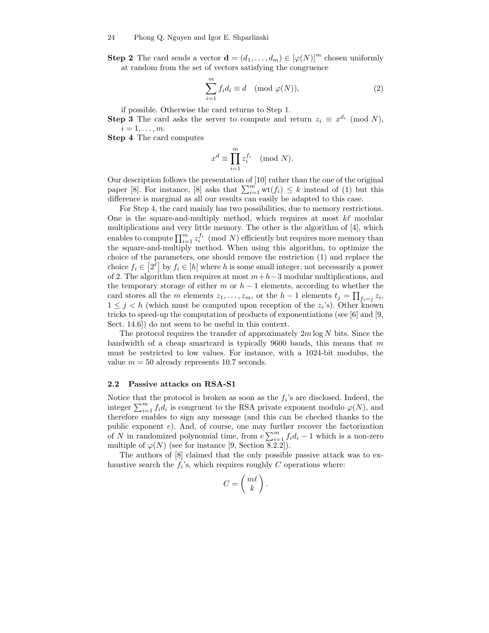**Step 2** The card sends a vector  $\mathbf{d} = (d_1, \ldots, d_m) \in [\varphi(N)]^m$  chosen uniformly at random from the set of vectors satisfying the congruence

$$
\sum_{i=1}^{m} f_i d_i \equiv d \pmod{\varphi(N)},\tag{2}
$$

if possible. Otherwise the card returns to Step 1.

**Step 3** The card asks the server to compute and return  $z_i \equiv x^{d_i} \pmod{N}$ ,  $i=1,\ldots,m$ .

Step 4 The card computes

$$
x^d\equiv \prod_{i=1}^m z_i^{f_i}\pmod N.
$$

Our description follows the presentation of [10] rather than the one of the original paper [8]. For instance, [8] asks that  $\sum_{i=1}^{m} \text{wt}(f_i) \leq k$  instead of (1) but this difference is marginal as all our results can easily be adapted to this case.

For Step 4, the card mainly has two possibilities, due to memory restrictions. One is the square-and-multiply method, which requires at most  $k\ell$  modular multiplications and very little memory. The other is the algorithm of [4], which enables to compute  $\prod_{i=1}^{m} z_i^{f_i} \pmod{N}$  efficiently but requires more memory than the square-and-multiply method. When using this algorithm, to optimize the choice of the parameters, one should remove the restriction (1) and replace the choice  $f_i \in [2^{\ell}]$  by  $f_i \in [h]$  where h is some small integer, not necessarily a power of 2. The algorithm then requires at most  $m+h-3$  modular multiplications, and the temporary storage of either m or  $h-1$  elements, according to whether the card stores all the m elements  $z_1, \ldots, z_m$ , or the  $h-1$  elements  $t_j = \prod_{f_i=j} z_i$ ,  $1 \leq j < h$  (which must be computed upon reception of the  $z_i$ 's). Other known tricks to speed-up the computation of products of exponentiations (see  $[6]$  and  $[9]$ , Sect. 14.6]) do not seem to be useful in this context.

The protocol requires the transfer of approximately  $2m \log N$  bits. Since the bandwidth of a cheap smartcard is typically 9600 bauds, this means that m must be restricted to low values. For instance, with a 1024-bit modulus, the value  $m = 50$  already represents 10.7 seconds.

## 2.2 Passive attacks on RSA-S1

Notice that the protocol is broken as soon as the  $f_i$ 's are disclosed. Indeed, the integer  $\sum_{i=1}^{m} f_i d_i$  is congruent to the RSA private exponent modulo  $\varphi(N)$ , and therefore enables to sign any message (and this can be checked thanks to the public exponent e). And, of course, one may further recover the factorization of N in randomized polynomial time, from  $e\sum_{i=1}^{m} f_i d_i - 1$  which is a non-zero multiple of  $\varphi(N)$  (see for instance [9, Section 8.2.2]).

The authors of [8] claimed that the only possible passive attack was to exhaustive search the  $f_i$ 's, which requires roughly  $C$  operations where:

$$
C = \left(\begin{array}{c} m\ell \\ k \end{array}\right).
$$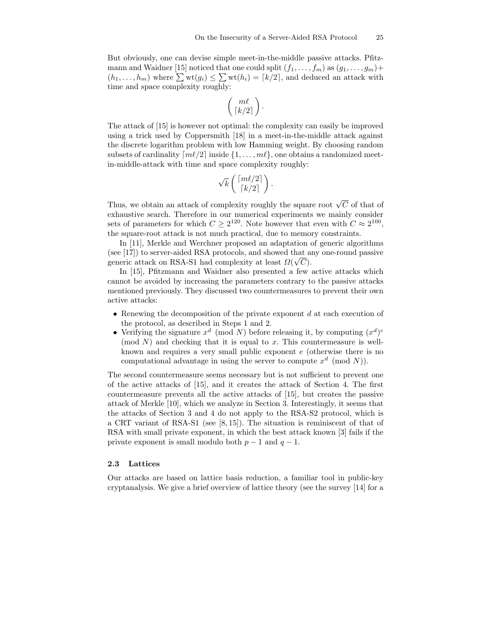But obviously, one can devise simple meet-in-the-middle passive attacks. Pfitzmann and Waidner [15] noticed that one could split  $(f_1, \ldots, f_m)$  as  $(g_1, \ldots, g_m)$ +  $(h_1, \ldots, h_m)$  where  $\sum \text{wt}(g_i) \leq \sum \text{wt}(h_i) = \lceil k/2 \rceil$ , and deduced an attack with time and space complexity roughly:

$$
\binom{m\ell}{\lceil k/2\rceil}.
$$

The attack of [15] is however not optimal: the complexity can easily be improved using a trick used by Coppersmith [18] in a meet-in-the-middle attack against the discrete logarithm problem with low Hamming weight. By choosing random subsets of cardinality  $[m\ell/2]$  inside  $\{1, \ldots, m\ell\}$ , one obtains a randomized meetin-middle-attack with time and space complexity roughly:

$$
\sqrt{k}\left(\begin{array}{c} \lceil m\ell/2 \rceil \\ \lceil k/2 \rceil \end{array}\right).
$$

Thus, we obtain an attack of complexity roughly the square root  $\sqrt{C}$  of that of exhaustive search. Therefore in our numerical experiments we mainly consider sets of parameters for which  $C \geq 2^{120}$ . Note however that even with  $C \approx 2^{100}$ , the square-root attack is not much practical, due to memory constraints.

In [11], Merkle and Werchner proposed an adaptation of generic algorithms (see [17]) to server-aided RSA protocols, and showed that any one-round passive generic attack on RSA-S1 had complexity at least  $\Omega(\sqrt{C})$ .

In [15], Pfitzmann and Waidner also presented a few active attacks which cannot be avoided by increasing the parameters contrary to the passive attacks mentioned previously. They discussed two countermeasures to prevent their own active attacks:

- Renewing the decomposition of the private exponent  $d$  at each execution of the protocol, as described in Steps 1 and 2.
- Verifying the signature  $x^d \pmod{N}$  before releasing it, by computing  $(x^d)^e$  $p(\mod N)$  and checking that it is equal to x. This countermeasure is wellknown and requires a very small public exponent e (otherwise there is no computational advantage in using the server to compute  $x^d \pmod{N}$ .

The second countermeasure seems necessary but is not sufficient to prevent one of the active attacks of [15], and it creates the attack of Section 4. The first countermeasure prevents all the active attacks of [15], but creates the passive attack of Merkle [10], which we analyze in Section 3. Interestingly, it seems that the attacks of Section 3 and 4 do not apply to the RSA-S2 protocol, which is a CRT variant of RSA-S1 (see  $[8, 15]$ ). The situation is reminiscent of that of RSA with small private exponent, in which the best attack known [3] fails if the private exponent is small modulo both  $p-1$  and  $q-1$ .

#### 2.3 Lattices

Our attacks are based on lattice basis reduction, a familiar tool in public-key cryptanalysis. We give a brief overview of lattice theory (see the survey [14] for a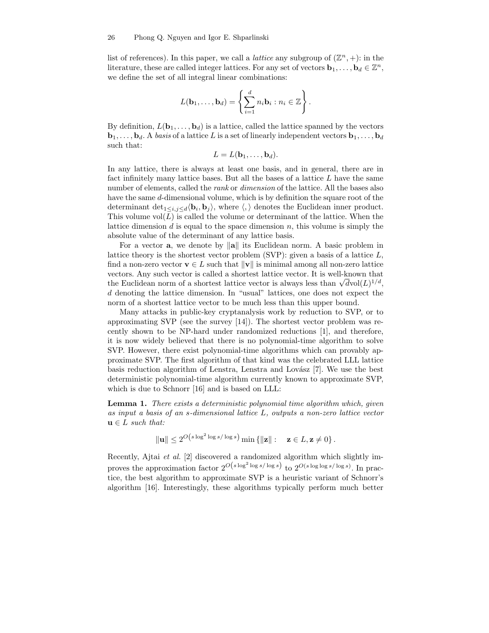#### 26 Phong Q. Nguyen and Igor E. Shparlinski

list of references). In this paper, we call a *lattice* any subgroup of  $(\mathbb{Z}^n, +)$ : in the literature, these are called integer lattices. For any set of vectors  $\mathbf{b}_1, \ldots, \mathbf{b}_d \in \mathbb{Z}^n$ , we define the set of all integral linear combinations:

$$
L(\mathbf{b}_1,\ldots,\mathbf{b}_d)=\left\{\sum_{i=1}^d n_i\mathbf{b}_i:n_i\in\mathbb{Z}\right\}.
$$

By definition,  $L(\mathbf{b}_1, \ldots, \mathbf{b}_d)$  is a lattice, called the lattice spanned by the vectors  $$ such that:

$$
L=L(\mathbf{b}_1,\ldots,\mathbf{b}_d).
$$

In any lattice, there is always at least one basis, and in general, there are in fact infinitely many lattice bases. But all the bases of a lattice  $L$  have the same number of elements, called the *rank* or *dimension* of the lattice. All the bases also have the same d-dimensional volume, which is by definition the square root of the determinant  $\det_{1 \leq i,j \leq d} \langle \mathbf{b}_i, \mathbf{b}_j \rangle$ , where  $\langle, \rangle$  denotes the Euclidean inner product. This volume  $vol(L)$  is called the volume or determinant of the lattice. When the lattice dimension  $d$  is equal to the space dimension  $n$ , this volume is simply the absolute value of the determinant of any lattice basis.

For a vector  $a$ , we denote by  $\|a\|$  its Euclidean norm. A basic problem in lattice theory is the shortest vector problem  $(SVP)$ : given a basis of a lattice  $L$ , find a non-zero vector  $\mathbf{v} \in L$  such that  $\|\mathbf{v}\|$  is minimal among all non-zero lattice vectors. Any such vector is called a shortest lattice vector. It is well-known that the Euclidean norm of a shortest lattice vector is always less than  $\sqrt{d}$ vol $(L)^{1/d}$ , d denoting the lattice dimension. In "usual" lattices, one does not expect the norm of a shortest lattice vector to be much less than this upper bound.

Many attacks in public-key cryptanalysis work by reduction to SVP, or to approximating SVP (see the survey [14]). The shortest vector problem was recently shown to be NP-hard under randomized reductions [1], and therefore, it is now widely believed that there is no polynomial-time algorithm to solve SVP. However, there exist polynomial-time algorithms which can provably approximate SVP. The first algorithm of that kind was the celebrated LLL lattice basis reduction algorithm of Lenstra, Lenstra and Lovász [7]. We use the best deterministic polynomial-time algorithm currently known to approximate SVP, which is due to Schnorr [16] and is based on LLL:

**Lemma 1.** There exists a deterministic polynomial time algorithm which, given as input a basis of an s-dimensional lattice L, outputs a non-zero lattice vector  $\mathbf{u} \in L$  such that:

$$
\|\mathbf{u}\| \leq 2^{O\left(s\log^2\log s/\log s\right)}\min\left\{\|\mathbf{z}\|: \quad \mathbf{z}\in L, \mathbf{z}\neq 0\right\}.
$$

Recently, Ajtai et al. [2] discovered a randomized algorithm which slightly improves the approximation factor  $2^{O(s \log^2 \log s/\log s)}$  to  $2^{O(s \log \log s/\log s)}$ . In practice, the best algorithm to approximate SVP is a heuristic variant of Schnorr's algorithm [16]. Interestingly, these algorithms typically perform much better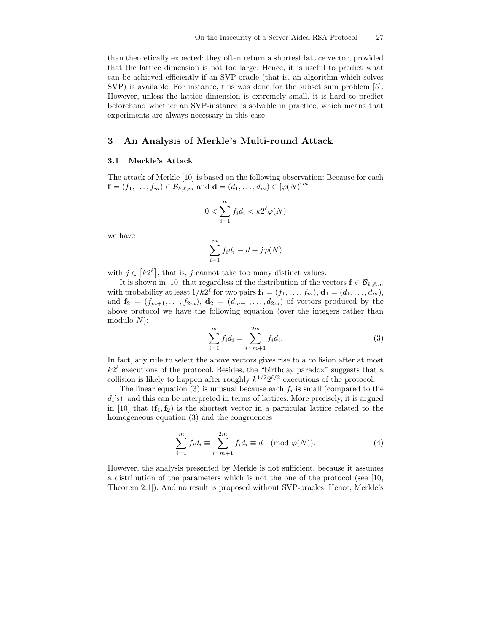than theoretically expected: they often return a shortest lattice vector, provided that the lattice dimension is not too large. Hence, it is useful to predict what can be achieved efficiently if an SVP-oracle (that is, an algorithm which solves SVP) is available. For instance, this was done for the subset sum problem [5]. However, unless the lattice dimension is extremely small, it is hard to predict beforehand whether an SVP-instance is solvable in practice, which means that experiments are always necessary in this case.

# 3 An Analysis of Merkle's Multi-round Attack

## 3.1 Merkle's Attack

The attack of Merkle [10] is based on the following observation: Because for each  $\mathbf{f} = (f_1, \ldots, f_m) \in \mathcal{B}_{k,\ell,m}$  and  $\mathbf{d} = (d_1, \ldots, d_m) \in [\varphi(N)]^m$ 

$$
0 < \sum_{i=1}^{m} f_i d_i < k 2^{\ell} \varphi(N)
$$

we have

$$
\sum_{i=1}^{m} f_i d_i \equiv d + j\varphi(N)
$$

with  $j \in [k2^{\ell}]$ , that is, j cannot take too many distinct values.

It is shown in [10] that regardless of the distribution of the vectors  $f \in \mathcal{B}_{k,\ell,m}$ with probability at least  $1/k2^{\ell}$  for two pairs  $\mathbf{f}_1 = (f_1, \ldots, f_m), \mathbf{d}_1 = (d_1, \ldots, d_m)$ , and  $\mathbf{f}_2 = (f_{m+1}, \ldots, f_{2m}), \mathbf{d}_2 = (d_{m+1}, \ldots, d_{2m})$  of vectors produced by the above protocol we have the following equation (over the integers rather than modulo  $N$ ):

$$
\sum_{i=1}^{m} f_i d_i = \sum_{i=m+1}^{2m} f_i d_i.
$$
 (3)

In fact, any rule to select the above vectors gives rise to a collision after at most  $k2^{\ell}$  executions of the protocol. Besides, the "birthday paradox" suggests that a collision is likely to happen after roughly  $k^{1/2}2^{\ell/2}$  executions of the protocol.

The linear equation (3) is unusual because each  $f_i$  is small (compared to the  $d_i$ 's), and this can be interpreted in terms of lattices. More precisely, it is argued in [10] that  $(f_1, f_2)$  is the shortest vector in a particular lattice related to the homogeneous equation (3) and the congruences

$$
\sum_{i=1}^{m} f_i d_i \equiv \sum_{i=m+1}^{2m} f_i d_i \equiv d \pmod{\varphi(N)}.
$$
 (4)

However, the analysis presented by Merkle is not sufficient, because it assumes a distribution of the parameters which is not the one of the protocol (see [10, Theorem 2.1]). And no result is proposed without SVP-oracles. Hence, Merkle's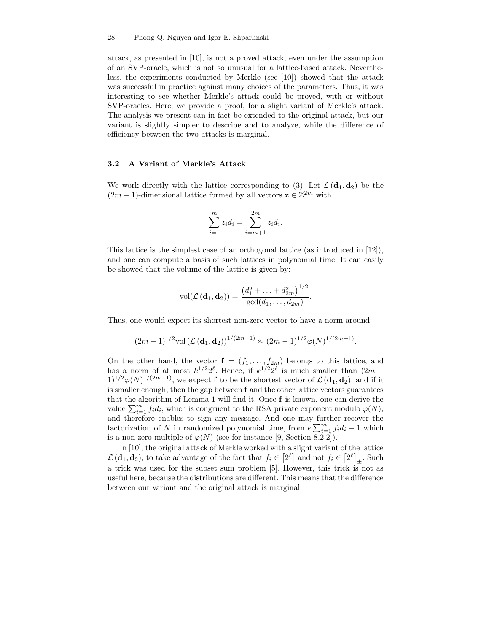attack, as presented in [10], is not a proved attack, even under the assumption of an SVP-oracle, which is not so unusual for a lattice-based attack. Nevertheless, the experiments conducted by Merkle (see [10]) showed that the attack was successful in practice against many choices of the parameters. Thus, it was interesting to see whether Merkle's attack could be proved, with or without SVP-oracles. Here, we provide a proof, for a slight variant of Merkle's attack. The analysis we present can in fact be extended to the original attack, but our variant is slightly simpler to describe and to analyze, while the difference of efficiency between the two attacks is marginal.

#### 3.2 A Variant of Merkle's Attack

We work directly with the lattice corresponding to (3): Let  $\mathcal{L}(\mathbf{d}_1, \mathbf{d}_2)$  be the (2m − 1)-dimensional lattice formed by all vectors  $\mathbf{z} \in \mathbb{Z}^{2m}$  with

$$
\sum_{i=1}^{m} z_i d_i = \sum_{i=m+1}^{2m} z_i d_i.
$$

This lattice is the simplest case of an orthogonal lattice (as introduced in [12]), and one can compute a basis of such lattices in polynomial time. It can easily be showed that the volume of the lattice is given by:

$$
\text{vol}(\mathcal{L}(\mathbf{d}_1, \mathbf{d}_2)) = \frac{(d_1^2 + \ldots + d_{2m}^2)^{1/2}}{\gcd(d_1, \ldots, d_{2m})}.
$$

Thus, one would expect its shortest non-zero vector to have a norm around:

$$
(2m-1)^{1/2} {\rm vol}\left( \mathcal{L}\left(\mathbf{d}_1, \mathbf{d}_2 \right) \right)^{1/(2m-1)} \approx (2m-1)^{1/2} \varphi(N)^{1/(2m-1)}.
$$

On the other hand, the vector  $f = (f_1, \ldots, f_{2m})$  belongs to this lattice, and has a norm of at most  $k^{1/2}2^{\ell}$ . Hence, if  $k^{1/2}2^{\ell}$  is much smaller than  $(2m - 1)$  $(1)^{1/2}\varphi(N)^{1/(2m-1)}$ , we expect f to be the shortest vector of  $\mathcal{L}(\mathbf{d}_1, \mathbf{d}_2)$ , and if it is smaller enough, then the gap between  $f$  and the other lattice vectors guarantees that the algorithm of Lemma 1 will find it. Once f is known, one can derive the value  $\sum_{i=1}^{m} f_i d_i$ , which is congruent to the RSA private exponent modulo  $\varphi(N)$ , and therefore enables to sign any message. And one may further recover the factorization of N in randomized polynomial time, from  $e \sum_{i=1}^{m} f_i d_i - 1$  which is a non-zero multiple of  $\varphi(N)$  (see for instance [9, Section 8.2.2]).

In [10], the original attack of Merkle worked with a slight variant of the lattice  $\mathcal{L}(\mathbf{d}_1, \mathbf{d}_2)$ , to take advantage of the fact that  $f_i \in [2^{\ell}]$  and not  $f_i \in [2^{\ell}]_{\pm}$ . Such a trick was used for the subset sum problem [5]. However, this trick is not as useful here, because the distributions are different. This means that the difference between our variant and the original attack is marginal.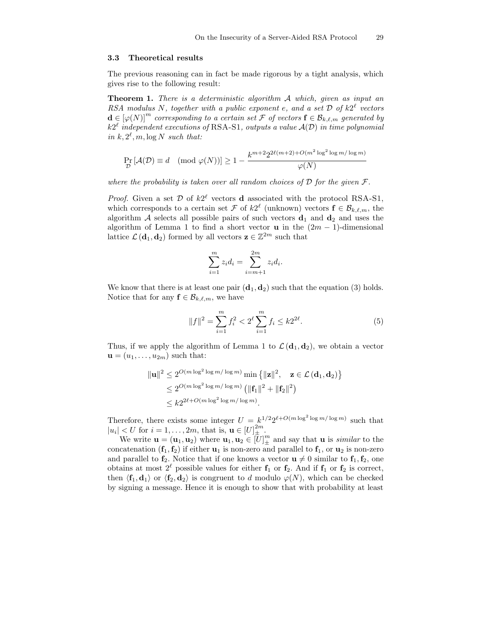## 3.3 Theoretical results

The previous reasoning can in fact be made rigorous by a tight analysis, which gives rise to the following result:

Theorem 1. There is a deterministic algorithm A which, given as input an RSA modulus N, together with a public exponent e, and a set  $\mathcal D$  of  $k2^{\ell}$  vectors  $\mathbf{d} \in [\varphi(N)]^m$  corresponding to a certain set F of vectors  $\mathbf{f} \in \mathcal{B}_{k,\ell,m}$  generated by  $k2^{\ell}$  independent executions of RSA-S1, outputs a value  $\mathcal{A}(\mathcal{D})$  in time polynomial in  $k, 2^{\ell}, m, \log N$  such that:

$$
\Pr_{\mathcal{D}}\left[\mathcal{A}(\mathcal{D}) \equiv d \pmod{\varphi(N)}\right] \ge 1 - \frac{k^{m+2} 2^{2\ell(m+2) + O(m^2 \log^2 \log m / \log m)}}{\varphi(N)}
$$

where the probability is taken over all random choices of  $D$  for the given  $\mathcal{F}$ .

*Proof.* Given a set  $D$  of  $k2^{\ell}$  vectors **d** associated with the protocol RSA-S1, which corresponds to a certain set  $\mathcal F$  of  $k2^\ell$  (unknown) vectors  $\mathbf f \in \mathcal B_{k,\ell,m}$ , the algorithm  $A$  selects all possible pairs of such vectors  $d_1$  and  $d_2$  and uses the algorithm of Lemma 1 to find a short vector **u** in the  $(2m - 1)$ -dimensional lattice  $\mathcal{L}(\mathbf{d}_1, \mathbf{d}_2)$  formed by all vectors  $\mathbf{z} \in \mathbb{Z}^{2m}$  such that

$$
\sum_{i=1}^{m} z_i d_i = \sum_{i=m+1}^{2m} z_i d_i.
$$

We know that there is at least one pair  $(d_1, d_2)$  such that the equation (3) holds. Notice that for any  $f \in \mathcal{B}_{k,\ell,m}$ , we have

$$
||f||^2 = \sum_{i=1}^m f_i^2 < 2^\ell \sum_{i=1}^m f_i \le k 2^{2\ell}.\tag{5}
$$

Thus, if we apply the algorithm of Lemma 1 to  $\mathcal{L}(\mathbf{d}_1, \mathbf{d}_2)$ , we obtain a vector  $\mathbf{u} = (u_1, \ldots, u_{2m})$  such that:

$$
\|\mathbf{u}\|^2 \le 2^{O(m \log^2 \log m / \log m)} \min \left\{ \|\mathbf{z}\|^2, \quad \mathbf{z} \in \mathcal{L}(\mathbf{d}_1, \mathbf{d}_2) \right\}
$$
  
\$\le 2^{O(m \log^2 \log m / \log m)} (\|\mathbf{f}\_1\|^2 + \|\mathbf{f}\_2\|^2)\$  
\$\le k2^{\ell + O(m \log^2 \log m / \log m)}.

Therefore, there exists some integer  $U = k^{1/2} 2^{\ell+O(m \log^2 \log m / \log m)}$  such that  $|u_i| \leq U$  for  $i = 1, ..., 2m$ , that is,  $\mathbf{u} \in [U]_{\pm}^{2m}$ .

We write  $\mathbf{u} = (\mathbf{u}_1, \mathbf{u}_2)$  where  $\mathbf{u}_1, \mathbf{u}_2 \in [\bar{U}]_{\pm}^m$  and say that  $\mathbf{u}$  is *similar* to the concatenation  $(f_1, f_2)$  if either  $u_1$  is non-zero and parallel to  $f_1$ , or  $u_2$  is non-zero and parallel to  $f_2$ . Notice that if one knows a vector  $u \neq 0$  similar to  $f_1, f_2$ , one obtains at most  $2^{\ell}$  possible values for either  $f_1$  or  $f_2$ . And if  $f_1$  or  $f_2$  is correct, then  $\langle \mathbf{f}_1, \mathbf{d}_1 \rangle$  or  $\langle \mathbf{f}_2, \mathbf{d}_2 \rangle$  is congruent to d modulo  $\varphi(N)$ , which can be checked by signing a message. Hence it is enough to show that with probability at least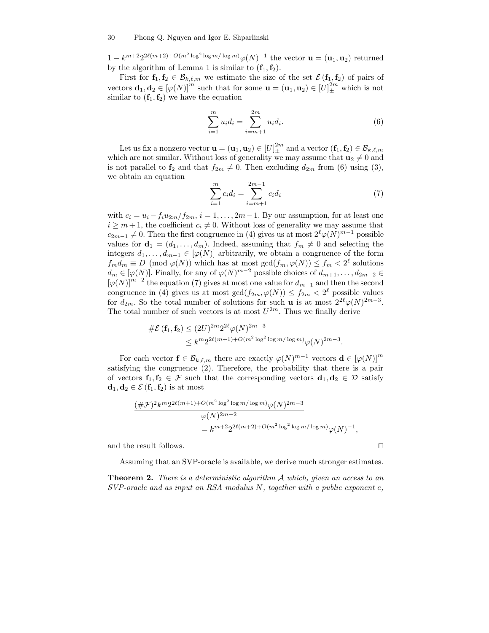$1 - k^{m+2} 2^{2\ell(m+2) + O(m^2 \log^2 \log m / \log m)} \varphi(N)^{-1}$  the vector  $\mathbf{u} = (\mathbf{u}_1, \mathbf{u}_2)$  returned by the algorithm of Lemma 1 is similar to  $(f_1, f_2)$ .

First for  $f_1, f_2 \in \mathcal{B}_{k,\ell,m}$  we estimate the size of the set  $\mathcal{E}(f_1,f_2)$  of pairs of vectors  $\mathbf{d}_1, \mathbf{d}_2 \in [\varphi(N)]^m$  such that for some  $\mathbf{u} = (\mathbf{u}_1, \mathbf{u}_2) \in [U]^{2m}_{\pm}$  which is not similar to  $(f_1, f_2)$  we have the equation

$$
\sum_{i=1}^{m} u_i d_i = \sum_{i=m+1}^{2m} u_i d_i.
$$
 (6)

Let us fix a nonzero vector  $\mathbf{u} = (\mathbf{u}_1, \mathbf{u}_2) \in [U]_{\pm}^{2m}$  and a vector  $(\mathbf{f}_1, \mathbf{f}_2) \in \mathcal{B}_{k,\ell,m}$ which are not similar. Without loss of generality we may assume that  $u_2 \neq 0$  and is not parallel to  $f_2$  and that  $f_{2m} \neq 0$ . Then excluding  $d_{2m}$  from (6) using (3), we obtain an equation

$$
\sum_{i=1}^{m} c_i d_i = \sum_{i=m+1}^{2m-1} c_i d_i \tag{7}
$$

with  $c_i = u_i - f_i u_{2m}/f_{2m}, i = 1, \ldots, 2m-1$ . By our assumption, for at least one  $i \geq m+1$ , the coefficient  $c_i \neq 0$ . Without loss of generality we may assume that  $c_{2m-1} \neq 0$ . Then the first congruence in (4) gives us at most  $2^{\ell} \varphi(N)^{m-1}$  possible values for  $\mathbf{d}_1 = (d_1, \ldots, d_m)$ . Indeed, assuming that  $f_m \neq 0$  and selecting the integers  $d_1, \ldots, d_{m-1} \in [\varphi(N)]$  arbitrarily, we obtain a congruence of the form  $f_m d_m \equiv D \pmod{\varphi(N)}$  which has at most  $gcd(f_m, \varphi(N)) \leq f_m < 2^{\ell}$  solutions  $d_m \in [\varphi(N)]$ . Finally, for any of  $\varphi(N)^{m-2}$  possible choices of  $d_{m+1}, \ldots, d_{2m-2} \in$  $[\varphi(N)]^{m-2}$  the equation (7) gives at most one value for  $d_{m-1}$  and then the second congruence in (4) gives us at most  $gcd(f_{2m}, \varphi(N)) \le f_{2m} < 2^{\ell}$  possible values for  $d_{2m}$ . So the total number of solutions for such **u** is at most  $2^{2\ell}\varphi(N)^{2m-3}$ . The total number of such vectors is at most  $U^{2m}$ . Thus we finally derive

$$
\#\mathcal{E}(\mathbf{f}_1, \mathbf{f}_2) \le (2U)^{2m} 2^{2\ell} \varphi(N)^{2m-3}
$$
  
\$\le k^m 2^{2\ell(m+1)+O(m^2 \log^2 \log m/\log m)} \varphi(N)^{2m-3}\$.

For each vector  $\mathbf{f} \in \mathcal{B}_{k,\ell,m}$  there are exactly  $\varphi(N)^{m-1}$  vectors  $\mathbf{d} \in [\varphi(N)]^m$ satisfying the congruence (2). Therefore, the probability that there is a pair of vectors  $f_1, f_2 \in \mathcal{F}$  such that the corresponding vectors  $d_1, d_2 \in \mathcal{D}$  satisfy  $\mathbf{d}_1, \mathbf{d}_2 \in \mathcal{E}(\mathbf{f}_1, \mathbf{f}_2)$  is at most

$$
\frac{(\#\mathcal{F})^2 k^m 2^{2\ell(m+1)+O(m^2 \log^2 \log m/\log m)} \varphi(N)^{2m-3}}{\varphi(N)^{2m-2}}
$$
  
=  $k^{m+2} 2^{2\ell(m+2)+O(m^2 \log^2 \log m/\log m)} \varphi(N)^{-1},$ 

and the result follows.  $\Box$ 

Assuming that an SVP-oracle is available, we derive much stronger estimates.

**Theorem 2.** There is a deterministic algorithm  $\mathcal A$  which, given an access to an  $SVP\text{-}oracle$  and as input an RSA modulus N, together with a public exponent  $e$ ,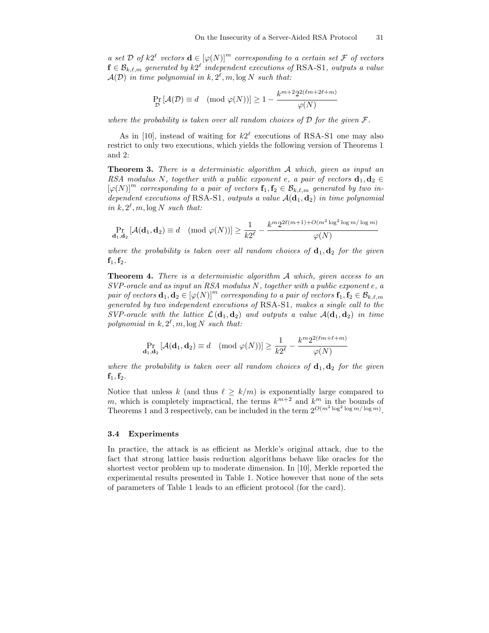a set D of  $k2^{\ell}$  vectors  $\mathbf{d} \in [\varphi(N)]^m$  corresponding to a certain set F of vectors  $\mathbf{f} \in \mathcal{B}_{k,\ell,m}$  generated by  $k2^{\ell}$  independent executions of RSA-S1, outputs a value  $\mathcal{A}(\mathcal{D})$  in time polynomial in  $k, 2^{\ell}, m, \log N$  such that:

$$
\Pr_{\mathcal{D}}\left[\mathcal{A}(\mathcal{D}) \equiv d \pmod{\varphi(N)}\right] \ge 1 - \frac{k^{m+2} 2^{2(\ell m + 2\ell + m)}}{\varphi(N)}
$$

where the probability is taken over all random choices of  $D$  for the given  $\mathcal{F}$ .

As in [10], instead of waiting for  $k2^{\ell}$  executions of RSA-S1 one may also restrict to only two executions, which yields the following version of Theorems 1 and 2:

**Theorem 3.** There is a deterministic algorithm A which, given as input an RSA modulus N, together with a public exponent e, a pair of vectors  $\mathbf{d}_1, \mathbf{d}_2 \in$  $[\varphi(N)]^m$  corresponding to a pair of vectors  $\mathbf{f}_1, \mathbf{f}_2 \in \mathcal{B}_{k,\ell,m}$  generated by two independent executions of RSA-S1, outputs a value  $\mathcal{A}(\mathbf{d}_1, \mathbf{d}_2)$  in time polynomial in  $k, 2^{\ell}, m, \log N$  such that:

$$
\Pr_{\mathbf{d}_1, \mathbf{d}_2} \left[ \mathcal{A}(\mathbf{d}_1, \mathbf{d}_2) \equiv d \pmod{\varphi(N)} \right] \ge \frac{1}{k2^\ell} - \frac{k^m 2^{2\ell(m+1) + O(m^2 \log^2 \log m / \log m)}}{\varphi(N)}
$$

where the probability is taken over all random choices of  $\mathbf{d}_1, \mathbf{d}_2$  for the given  $f_1, f_2.$ 

**Theorem 4.** There is a deterministic algorithm  $\mathcal{A}$  which, given access to an  $SVP\text{-}oracle$  and as input an RSA modulus N, together with a public exponent  $e$ , a pair of vectors  $\mathbf{d}_1, \mathbf{d}_2 \in [\varphi(N)]^m$  corresponding to a pair of vectors  $\mathbf{f}_1, \mathbf{f}_2 \in \mathcal{B}_{k,\ell,m}$ generated by two independent executions of RSA-S1, makes a single call to the SVP-oracle with the lattice  $\mathcal{L}(\mathbf{d}_1, \mathbf{d}_2)$  and outputs a value  $\mathcal{A}(\mathbf{d}_1, \mathbf{d}_2)$  in time polynomial in  $k, 2^{\ell}, m, \log N$  such that:

$$
\Pr_{\mathbf{d}_1,\mathbf{d}_2}[\mathcal{A}(\mathbf{d}_1,\mathbf{d}_2)\equiv d\pmod{\varphi(N))} \ge \frac{1}{k2^\ell} - \frac{k^m 2^{2(\ell m + \ell + m)}}{\varphi(N)}
$$

where the probability is taken over all random choices of  $\mathbf{d}_1, \mathbf{d}_2$  for the given  $f_1, f_2.$ 

Notice that unless k (and thus  $\ell \geq k/m$ ) is exponentially large compared to m, which is completely impractical, the terms  $k^{m+2}$  and  $k^m$  in the bounds of Theorems 1 and 3 respectively, can be included in the term  $2^{O(m^2 \log^2 \log m / \log m)}$ .

# 3.4 Experiments

In practice, the attack is as efficient as Merkle's original attack, due to the fact that strong lattice basis reduction algorithms behave like oracles for the shortest vector problem up to moderate dimension. In [10], Merkle reported the experimental results presented in Table 1. Notice however that none of the sets of parameters of Table 1 leads to an efficient protocol (for the card).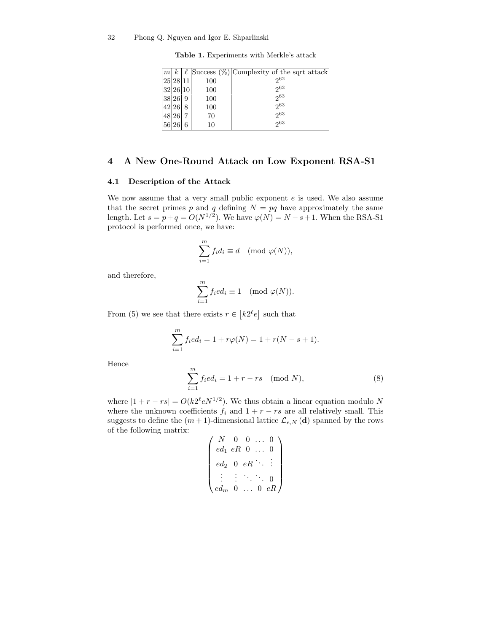#### 32 Phong Q. Nguyen and Igor E. Shparlinski

|  | Table 1. Experiments with Merkle's attack |  |  |  |
|--|-------------------------------------------|--|--|--|
|--|-------------------------------------------|--|--|--|

| m  | $_{k}$   |   |     | Success (%) Complexity of the sqrt attack |
|----|----------|---|-----|-------------------------------------------|
|    | 25 28 11 |   | 100 | 200                                       |
|    | 32 26 10 |   | 100 | $2^{62}$                                  |
|    | 38 26    | 9 | 100 | $2^{63}$                                  |
|    | 42 26    |   | 100 | $2^{63}$                                  |
|    | 48 26    |   | 70  | $2^{63}$                                  |
| 56 |          |   | 10  | $2^{63}$                                  |

# 4 A New One-Round Attack on Low Exponent RSA-S1

### 4.1 Description of the Attack

We now assume that a very small public exponent  $e$  is used. We also assume that the secret primes p and q defining  $N = pq$  have approximately the same length. Let  $s = p + q = O(N^{1/2})$ . We have  $\varphi(N) = N - s + 1$ . When the RSA-S1 protocol is performed once, we have:

$$
\sum_{i=1}^{m} f_i d_i \equiv d \pmod{\varphi(N)},
$$

and therefore,

$$
\sum_{i=1}^{m} f_i e d_i \equiv 1 \pmod{\varphi(N)}.
$$

From (5) we see that there exists  $r \in [k2^{\ell}e]$  such that

$$
\sum_{i=1}^{m} f_i e d_i = 1 + r\varphi(N) = 1 + r(N - s + 1).
$$

Hence

$$
\sum_{i=1}^{m} f_i e d_i = 1 + r - rs \pmod{N},
$$
\n(8)

where  $|1 + r - rs| = O(k2^{\ell}e^{N1/2})$ . We thus obtain a linear equation modulo N where the unknown coefficients  $f_i$  and  $1 + r - rs$  are all relatively small. This suggests to define the  $(m+1)$ -dimensional lattice  $\mathcal{L}_{e,N}(\mathbf{d})$  spanned by the rows of the following matrix:

$$
\begin{pmatrix}\nN & 0 & 0 & \dots & 0 \\
ed_1 & eR & 0 & \dots & 0 \\
ed_2 & 0 & eR & \ddots & \vdots \\
\vdots & \vdots & \ddots & \ddots & 0 \\
ed_m & 0 & \dots & 0 & eR\n\end{pmatrix}
$$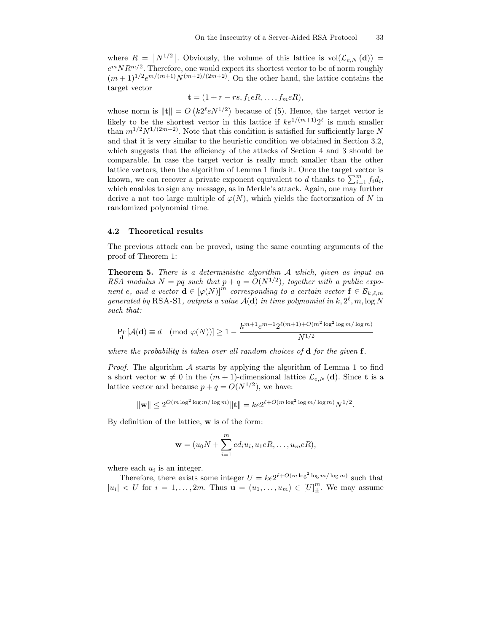where  $R = \lfloor N^{1/2} \rfloor$ . Obviously, the volume of this lattice is  $vol(\mathcal{L}_{e,N}(\mathbf{d})) =$  $e^m N R^{m/2}$ . Therefore, one would expect its shortest vector to be of norm roughly  $(m+1)^{1/2}e^{m/(m+1)}N^{(m+2)/(2m+2)}$ . On the other hand, the lattice contains the target vector

$$
\mathbf{t} = (1+r-rs, f_1eR, \ldots, f_meR),
$$

whose norm is  $\|\mathbf{t}\| = O(k2^{\ell}eN^{1/2})$  because of (5). Hence, the target vector is likely to be the shortest vector in this lattice if  $ke^{1/(m+1)}2^{\ell}$  is much smaller than  $m^{1/2}N^{1/(2m+2)}$ . Note that this condition is satisfied for sufficiently large N and that it is very similar to the heuristic condition we obtained in Section 3.2, which suggests that the efficiency of the attacks of Section 4 and 3 should be comparable. In case the target vector is really much smaller than the other lattice vectors, then the algorithm of Lemma 1 finds it. Once the target vector is known, we can recover a private exponent equivalent to d thanks to  $\sum_{i=1}^{m} f_i d_i$ , which enables to sign any message, as in Merkle's attack. Again, one may further derive a not too large multiple of  $\varphi(N)$ , which yields the factorization of N in randomized polynomial time.

#### 4.2 Theoretical results

The previous attack can be proved, using the same counting arguments of the proof of Theorem 1:

Theorem 5. There is a deterministic algorithm A which, given as input an RSA modulus  $N = pq$  such that  $p + q = O(N^{1/2})$ , together with a public exponent e, and a vector  $\mathbf{d} \in [\varphi(N)]^m$  corresponding to a certain vector  $\mathbf{f} \in \mathcal{B}_{k,\ell,m}$ generated by RSA-S1, outputs a value  $\mathcal{A}(\mathbf{d})$  in time polynomial in  $k, 2^{\ell}, m, \log N$ such that:

$$
\Pr_{\mathbf{d}}\left[\mathcal{A}(\mathbf{d}) \equiv d \pmod{\varphi(N))}\right] \geq 1-\frac{k^{m+1}e^{m+1}2^{\ell(m+1)+O(m^2\log^2\log m/\log m)}}{N^{1/2}}
$$

where the probability is taken over all random choices of  $d$  for the given  $f$ .

*Proof.* The algorithm  $\mathcal A$  starts by applying the algorithm of Lemma 1 to find a short vector  $\mathbf{w} \neq 0$  in the  $(m + 1)$ -dimensional lattice  $\mathcal{L}_{e,N}(\mathbf{d})$ . Since **t** is a lattice vector and because  $p + q = O(N^{1/2})$ , we have:

$$
\|{\bf w}\|\leq 2^{O(m\log^2\log m/\log m)}\|{\bf t}\|=ke2^{\ell+O(m\log^2\log m/\log m)}N^{1/2}.
$$

By definition of the lattice, w is of the form:

$$
\mathbf{w} = (u_0N + \sum_{i=1}^m ed_iu_i, u_1eR, \dots, u_meR),
$$

where each  $u_i$  is an integer.

Therefore, there exists some integer  $U = ke^{2\ell + O(m \log^2 \log m / \log m)}$  such that  $|u_i|$  < U for  $i = 1, ..., 2m$ . Thus  $\mathbf{u} = (u_1, ..., u_m) \in [U]^m_{\pm}$ . We may assume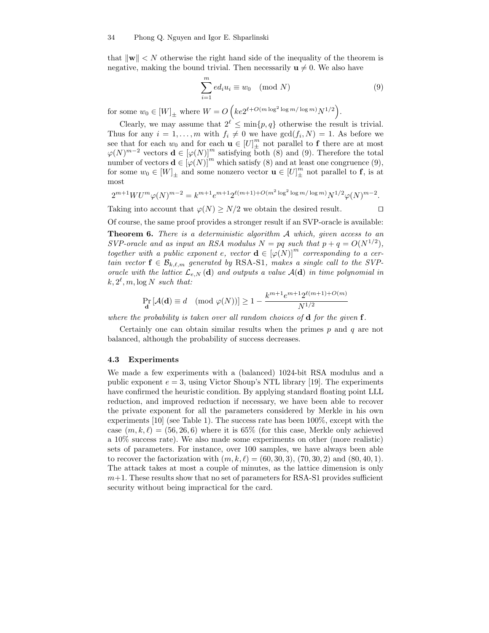that  $\|\mathbf{w}\| < N$  otherwise the right hand side of the inequality of the theorem is negative, making the bound trivial. Then necessarily  $\mathbf{u} \neq 0$ . We also have

$$
\sum_{i=1}^{m} e d_i u_i \equiv w_0 \pmod{N}
$$
 (9)

for some  $w_0 \in [W]_{\pm}$  where  $W = O\left(ke2^{\ell+O(m\log^2\log m/\log m)}N^{1/2}\right)$ .

Clearly, we may assume that  $2^{\ell} \leq \min\{p, q\}$  otherwise the result is trivial. Thus for any  $i = 1, ..., m$  with  $f_i \neq 0$  we have  $gcd(f_i, N) = 1$ . As before we see that for each  $w_0$  and for each  $\mathbf{u} \in [U]^m_{\pm}$  not parallel to **f** there are at most  $\varphi(N)^{m-2}$  vectors  $\mathbf{d} \in [\varphi(N)]^m$  satisfying both (8) and (9). Therefore the total number of vectors  $\mathbf{d} \in [\varphi(N)]^m$  which satisfy (8) and at least one congruence (9), for some  $w_0 \in [W]_{\pm}$  and some nonzero vector  $\mathbf{u} \in [U]_{\pm}^m$  not parallel to **f**, is at most

$$
2^{m+1} W U^m \varphi(N)^{m-2} = k^{m+1} e^{m+1} 2^{\ell(m+1) + O(m^2 \log^2 \log m / \log m)} N^{1/2} \varphi(N)^{m-2}.
$$

Taking into account that  $\varphi(N) \geq N/2$  we obtain the desired result.

Of course, the same proof provides a stronger result if an SVP-oracle is available: **Theorem 6.** There is a deterministic algorithm  $\mathcal{A}$  which, given access to an SVP-oracle and as input an RSA modulus  $N = pq$  such that  $p + q = O(N^{1/2}),$ together with a public exponent e, vector  $\mathbf{d} \in [\varphi(N)]^m$  corresponding to a certain vector  $f \in \mathcal{B}_{k,\ell,m}$  generated by RSA-S1, makes a single call to the SVPoracle with the lattice  $\mathcal{L}_{e,N}(\mathbf{d})$  and outputs a value  $\mathcal{A}(\mathbf{d})$  in time polynomial in  $k, 2^{\ell}, m, \log N$  such that:

$$
\Pr_{\mathbf{d}}\left[\mathcal{A}(\mathbf{d}) \equiv d \pmod{\varphi(N)}\right] \ge 1 - \frac{k^{m+1}e^{m+1}2^{\ell(m+1)+O(m)}}{N^{1/2}}
$$

where the probability is taken over all random choices of  $d$  for the given  $f$ .

Certainly one can obtain similar results when the primes  $p$  and  $q$  are not balanced, although the probability of success decreases.

## 4.3 Experiments

We made a few experiments with a (balanced) 1024-bit RSA modulus and a public exponent  $e = 3$ , using Victor Shoup's NTL library [19]. The experiments have confirmed the heuristic condition. By applying standard floating point LLL reduction, and improved reduction if necessary, we have been able to recover the private exponent for all the parameters considered by Merkle in his own experiments [10] (see Table 1). The success rate has been 100%, except with the case  $(m, k, \ell) = (56, 26, 6)$  where it is 65% (for this case, Merkle only achieved a 10% success rate). We also made some experiments on other (more realistic) sets of parameters. For instance, over 100 samples, we have always been able to recover the factorization with  $(m, k, \ell) = (60, 30, 3), (70, 30, 2)$  and  $(80, 40, 1)$ . The attack takes at most a couple of minutes, as the lattice dimension is only  $m+1$ . These results show that no set of parameters for RSA-S1 provides sufficient security without being impractical for the card.